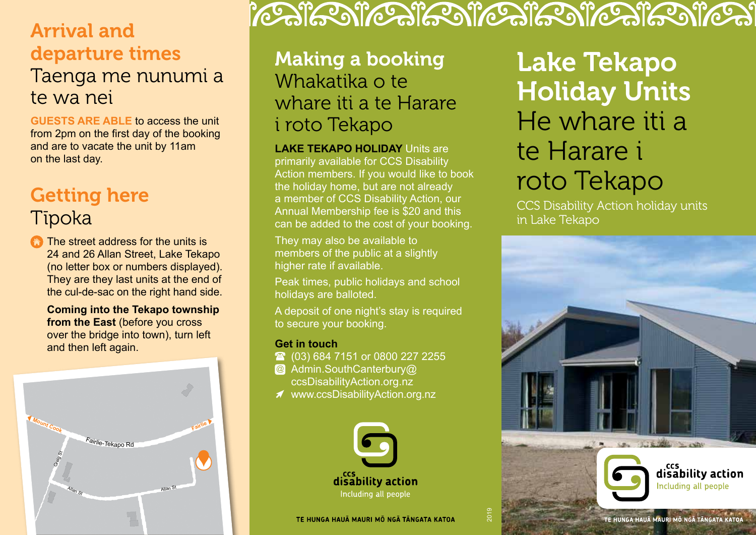## Arrival and departure times

### Taenga me nunumi a te wa nei

**GUESTS ARE ABLE** to access the unit from 2pm on the first day of the booking and are to vacate the unit by 11am on the last day.

## Getting here

### Tīpoka

**The street address for the units is** 24 and 26 Allan Street, Lake Tekapo (no letter box or numbers displayed). They are they last units at the end of the cul-de-sac on the right hand side.

**Coming into the Tekapo township from the East** (before you cross over the bridge into town), turn left and then left again.



# FOR THE RESTORATION FOR THE REST FOR THE REST

### Making a booking Whakatika o te whare iti a te Harare i roto Tekapo

**LAKE TEKAPO HOLIDAY** Units are primarily available for CCS Disability Action members. If you would like to book the holiday home, but are not already a member of CCS Disability Action, our Annual Membership fee is \$20 and this can be added to the cost of your booking.

They may also be available to members of the public at a slightly higher rate if available.

Peak times, public holidays and school holidays are balloted.

A deposit of one night's stay is required to secure your booking.

#### **Get in touch**

- **(03) 684 7151 or 0800 227 2255**
- @ Admin.SouthCanterbury@ ccsDisabilityAction.org.nz
- www.ccsDisabilityAction.org.nz



Lake Tekapo Holiday Units He whare iti a te Harare i roto Tekapo

CCS Disability Action holiday units in Lake Tekapo